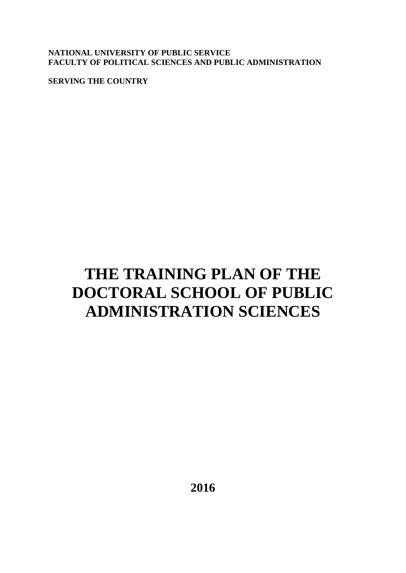**NATIONAL UNIVERSITY OF PUBLIC SERVICE FACULTY OF POLITICAL SCIENCES AND PUBLIC ADMINISTRATION**

**SERVING THE COUNTRY** 

# **THE TRAINING PLAN OF THE DOCTORAL SCHOOL OF PUBLIC ADMINISTRATION SCIENCES**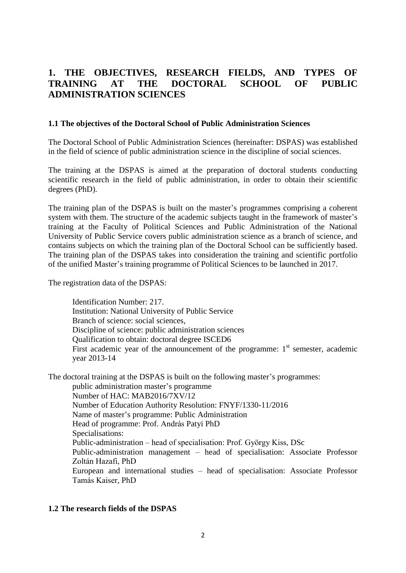# **1. THE OBJECTIVES, RESEARCH FIELDS, AND TYPES OF TRAINING AT THE DOCTORAL SCHOOL OF PUBLIC ADMINISTRATION SCIENCES**

#### **1.1 The objectives of the Doctoral School of Public Administration Sciences**

The Doctoral School of Public Administration Sciences (hereinafter: DSPAS) was established in the field of science of public administration science in the discipline of social sciences.

The training at the DSPAS is aimed at the preparation of doctoral students conducting scientific research in the field of public administration, in order to obtain their scientific degrees (PhD).

The training plan of the DSPAS is built on the master's programmes comprising a coherent system with them. The structure of the academic subjects taught in the framework of master's training at the Faculty of Political Sciences and Public Administration of the National University of Public Service covers public administration science as a branch of science, and contains subjects on which the training plan of the Doctoral School can be sufficiently based. The training plan of the DSPAS takes into consideration the training and scientific portfolio of the unified Master's training programme of Political Sciences to be launched in 2017.

The registration data of the DSPAS:

Identification Number: 217. Institution: National University of Public Service Branch of science: social sciences, Discipline of science: public administration sciences Qualification to obtain: doctoral degree ISCED6 First academic year of the announcement of the programme:  $1<sup>st</sup>$  semester, academic year 2013-14

The doctoral training at the DSPAS is built on the following master's programmes:

public administration master's programme Number of HAC: MAB2016/7XV/12 Number of Education Authority Resolution: FNYF/1330-11/2016 Name of master's programme: Public Administration Head of programme: Prof. András Patyi PhD Specialisations: Public-administration – head of specialisation: Prof. György Kiss, DSc Public-administration management – head of specialisation: Associate Professor Zoltán Hazafi, PhD European and international studies – head of specialisation: Associate Professor Tamás Kaiser, PhD

#### **1.2 The research fields of the DSPAS**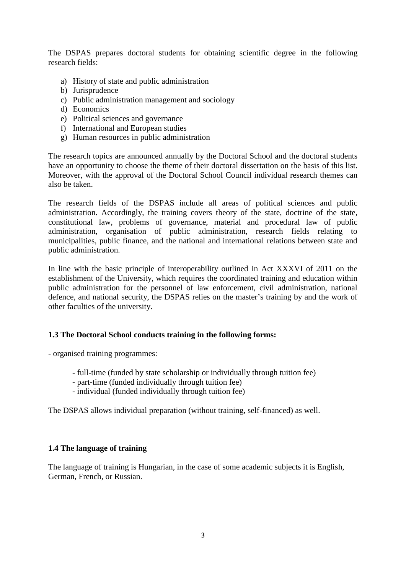The DSPAS prepares doctoral students for obtaining scientific degree in the following research fields:

- a) History of state and public administration
- b) Jurisprudence
- c) Public administration management and sociology
- d) Economics
- e) Political sciences and governance
- f) International and European studies
- g) Human resources in public administration

The research topics are announced annually by the Doctoral School and the doctoral students have an opportunity to choose the theme of their doctoral dissertation on the basis of this list. Moreover, with the approval of the Doctoral School Council individual research themes can also be taken.

The research fields of the DSPAS include all areas of political sciences and public administration. Accordingly, the training covers theory of the state, doctrine of the state, constitutional law, problems of governance, material and procedural law of public administration, organisation of public administration, research fields relating to municipalities, public finance, and the national and international relations between state and public administration.

In line with the basic principle of interoperability outlined in Act XXXVI of 2011 on the establishment of the University, which requires the coordinated training and education within public administration for the personnel of law enforcement, civil administration, national defence, and national security, the DSPAS relies on the master's training by and the work of other faculties of the university.

#### **1.3 The Doctoral School conducts training in the following forms:**

- organised training programmes:

- full-time (funded by state scholarship or individually through tuition fee)
- part-time (funded individually through tuition fee)
- individual (funded individually through tuition fee)

The DSPAS allows individual preparation (without training, self-financed) as well.

#### **1.4 The language of training**

The language of training is Hungarian, in the case of some academic subjects it is English, German, French, or Russian.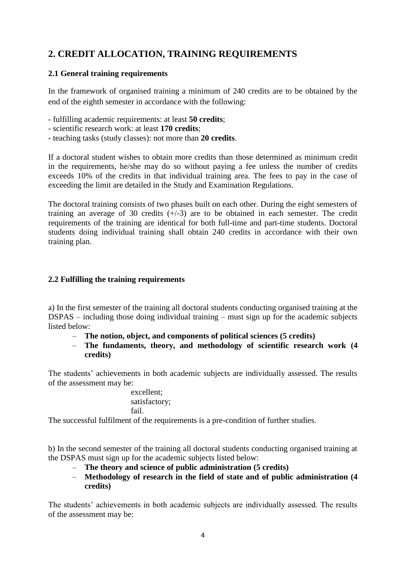# **2. CREDIT ALLOCATION, TRAINING REQUIREMENTS**

#### **2.1 General training requirements**

In the framework of organised training a minimum of 240 credits are to be obtained by the end of the eighth semester in accordance with the following:

- fulfilling academic requirements: at least **50 credits**;
- scientific research work: at least **170 credits**;
- teaching tasks (study classes): not more than **20 credits**.

If a doctoral student wishes to obtain more credits than those determined as minimum credit in the requirements, he/she may do so without paying a fee unless the number of credits exceeds 10% of the credits in that individual training area. The fees to pay in the case of exceeding the limit are detailed in the Study and Examination Regulations.

The doctoral training consists of two phases built on each other. During the eight semesters of training an average of 30 credits  $(+/-3)$  are to be obtained in each semester. The credit requirements of the training are identical for both full-time and part-time students. Doctoral students doing individual training shall obtain 240 credits in accordance with their own training plan.

#### **2.2 Fulfilling the training requirements**

a) In the first semester of the training all doctoral students conducting organised training at the DSPAS – including those doing individual training – must sign up for the academic subjects listed below:

- **The notion, object, and components of political sciences (5 credits)**
- **The fundaments, theory, and methodology of scientific research work (4 credits)**

The students' achievements in both academic subjects are individually assessed. The results of the assessment may be:

> excellent; satisfactory; fail.

The successful fulfilment of the requirements is a pre-condition of further studies.

b) In the second semester of the training all doctoral students conducting organised training at the DSPAS must sign up for the academic subjects listed below:

- **The theory and science of public administration (5 credits)**
- **Methodology of research in the field of state and of public administration (4 credits)**

The students' achievements in both academic subjects are individually assessed. The results of the assessment may be: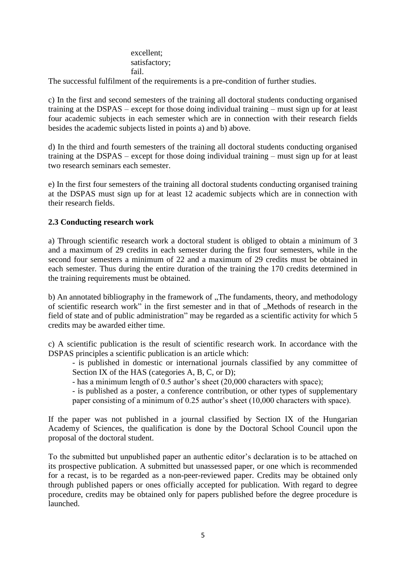excellent; satisfactory; fail.

The successful fulfilment of the requirements is a pre-condition of further studies.

c) In the first and second semesters of the training all doctoral students conducting organised training at the DSPAS – except for those doing individual training – must sign up for at least four academic subjects in each semester which are in connection with their research fields besides the academic subjects listed in points a) and b) above.

d) In the third and fourth semesters of the training all doctoral students conducting organised training at the DSPAS – except for those doing individual training – must sign up for at least two research seminars each semester.

e) In the first four semesters of the training all doctoral students conducting organised training at the DSPAS must sign up for at least 12 academic subjects which are in connection with their research fields.

#### **2.3 Conducting research work**

a) Through scientific research work a doctoral student is obliged to obtain a minimum of 3 and a maximum of 29 credits in each semester during the first four semesters, while in the second four semesters a minimum of 22 and a maximum of 29 credits must be obtained in each semester. Thus during the entire duration of the training the 170 credits determined in the training requirements must be obtained.

b) An annotated bibliography in the framework of "The fundaments, theory, and methodology of scientific research work" in the first semester and in that of . Methods of research in the field of state and of public administration" may be regarded as a scientific activity for which 5 credits may be awarded either time.

c) A scientific publication is the result of scientific research work. In accordance with the DSPAS principles a scientific publication is an article which:

- is published in domestic or international journals classified by any committee of Section IX of the HAS (categories A, B, C, or D);

- has a minimum length of 0.5 author's sheet (20,000 characters with space);

- is published as a poster, a conference contribution, or other types of supplementary paper consisting of a minimum of 0.25 author's sheet (10,000 characters with space).

If the paper was not published in a journal classified by Section IX of the Hungarian Academy of Sciences, the qualification is done by the Doctoral School Council upon the proposal of the doctoral student.

To the submitted but unpublished paper an authentic editor's declaration is to be attached on its prospective publication. A submitted but unassessed paper, or one which is recommended for a recast, is to be regarded as a non-peer-reviewed paper. Credits may be obtained only through published papers or ones officially accepted for publication. With regard to degree procedure, credits may be obtained only for papers published before the degree procedure is launched.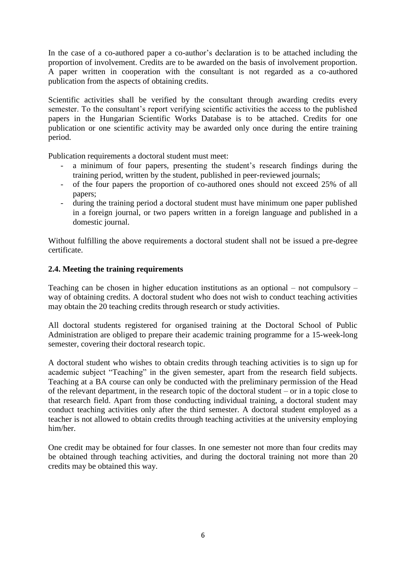In the case of a co-authored paper a co-author's declaration is to be attached including the proportion of involvement. Credits are to be awarded on the basis of involvement proportion. A paper written in cooperation with the consultant is not regarded as a co-authored publication from the aspects of obtaining credits.

Scientific activities shall be verified by the consultant through awarding credits every semester. To the consultant's report verifying scientific activities the access to the published papers in the Hungarian Scientific Works Database is to be attached. Credits for one publication or one scientific activity may be awarded only once during the entire training period.

Publication requirements a doctoral student must meet:

- a minimum of four papers, presenting the student's research findings during the training period, written by the student, published in peer-reviewed journals;
- of the four papers the proportion of co-authored ones should not exceed 25% of all papers;
- during the training period a doctoral student must have minimum one paper published in a foreign journal, or two papers written in a foreign language and published in a domestic journal.

Without fulfilling the above requirements a doctoral student shall not be issued a pre-degree certificate.

#### **2.4. Meeting the training requirements**

Teaching can be chosen in higher education institutions as an optional – not compulsory – way of obtaining credits. A doctoral student who does not wish to conduct teaching activities may obtain the 20 teaching credits through research or study activities.

All doctoral students registered for organised training at the Doctoral School of Public Administration are obliged to prepare their academic training programme for a 15-week-long semester, covering their doctoral research topic.

A doctoral student who wishes to obtain credits through teaching activities is to sign up for academic subject "Teaching" in the given semester, apart from the research field subjects. Teaching at a BA course can only be conducted with the preliminary permission of the Head of the relevant department, in the research topic of the doctoral student – or in a topic close to that research field. Apart from those conducting individual training, a doctoral student may conduct teaching activities only after the third semester. A doctoral student employed as a teacher is not allowed to obtain credits through teaching activities at the university employing him/her.

One credit may be obtained for four classes. In one semester not more than four credits may be obtained through teaching activities, and during the doctoral training not more than 20 credits may be obtained this way.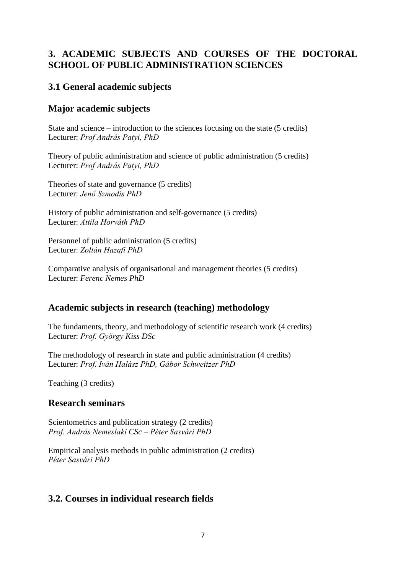# **3. ACADEMIC SUBJECTS AND COURSES OF THE DOCTORAL SCHOOL OF PUBLIC ADMINISTRATION SCIENCES**

# **3.1 General academic subjects**

## **Major academic subjects**

State and science – introduction to the sciences focusing on the state (5 credits) Lecturer: *Prof András Patyi, PhD*

Theory of public administration and science of public administration (5 credits) Lecturer: *Prof András Patyi, PhD*

Theories of state and governance (5 credits) Lecturer: *Jenő Szmodis PhD*

History of public administration and self-governance (5 credits) Lecturer: *Attila Horváth PhD*

Personnel of public administration (5 credits) Lecturer: *Zoltán Hazafi PhD* 

Comparative analysis of organisational and management theories (5 credits) Lecturer: *Ferenc Nemes PhD*

# **Academic subjects in research (teaching) methodology**

The fundaments, theory, and methodology of scientific research work (4 credits) Lecturer: *Prof. György Kiss DSc*

The methodology of research in state and public administration (4 credits) Lecturer: *Prof. Iván Halász PhD, Gábor Schweitzer PhD*

Teaching (3 credits)

## **Research seminars**

Scientometrics and publication strategy (2 credits) *Prof. András Nemeslaki CSc – Péter Sasvári PhD* 

Empirical analysis methods in public administration (2 credits) *Péter Sasvári PhD* 

# **3.2. Courses in individual research fields**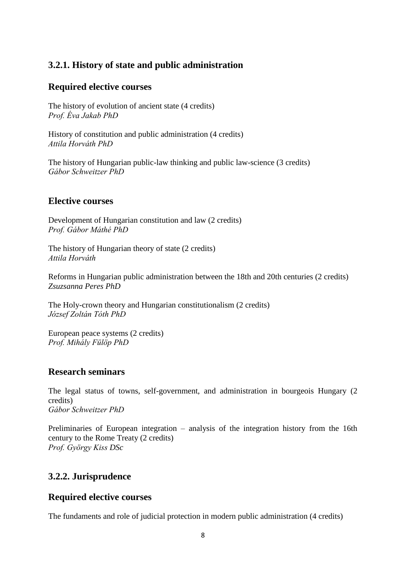# **3.2.1. History of state and public administration**

#### **Required elective courses**

The history of evolution of ancient state (4 credits) *Prof. Éva Jakab PhD* 

History of constitution and public administration (4 credits) *Attila Horváth PhD* 

The history of Hungarian public-law thinking and public law-science (3 credits) *Gábor Schweitzer PhD* 

#### **Elective courses**

Development of Hungarian constitution and law (2 credits) *Prof. Gábor Máthé PhD* 

The history of Hungarian theory of state (2 credits) *Attila Horváth* 

Reforms in Hungarian public administration between the 18th and 20th centuries (2 credits) *Zsuzsanna Peres PhD* 

The Holy-crown theory and Hungarian constitutionalism (2 credits) *József Zoltán Tóth PhD* 

European peace systems (2 credits) *Prof. Mihály Fülöp PhD* 

## **Research seminars**

The legal status of towns, self-government, and administration in bourgeois Hungary (2 credits) *Gábor Schweitzer PhD* 

Preliminaries of European integration – analysis of the integration history from the 16th century to the Rome Treaty (2 credits) *Prof. György Kiss DSc*

# **3.2.2. Jurisprudence**

## **Required elective courses**

The fundaments and role of judicial protection in modern public administration (4 credits)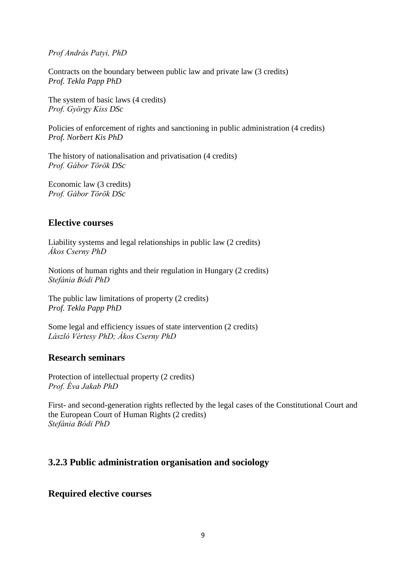*Prof András Patyi, PhD* 

Contracts on the boundary between public law and private law (3 credits) *Prof. Tekla Papp PhD* 

The system of basic laws (4 credits) *Prof. György Kiss DSc*

Policies of enforcement of rights and sanctioning in public administration (4 credits) *Prof. Norbert Kis PhD* 

The history of nationalisation and privatisation (4 credits) *Prof. Gábor Török DSc*

Economic law (3 credits) *Prof. Gábor Török DSc*

## **Elective courses**

Liability systems and legal relationships in public law (2 credits) *Ákos Cserny PhD* 

Notions of human rights and their regulation in Hungary (2 credits) *Stefánia Bódi PhD* 

The public law limitations of property (2 credits) *Prof. Tekla Papp PhD* 

Some legal and efficiency issues of state intervention (2 credits) *László Vértesy PhD; Ákos Cserny PhD* 

## **Research seminars**

Protection of intellectual property (2 credits) *Prof. Éva Jakab PhD* 

First- and second-generation rights reflected by the legal cases of the Constitutional Court and the European Court of Human Rights (2 credits) *Stefánia Bódi PhD* 

# **3.2.3 Public administration organisation and sociology**

# **Required elective courses**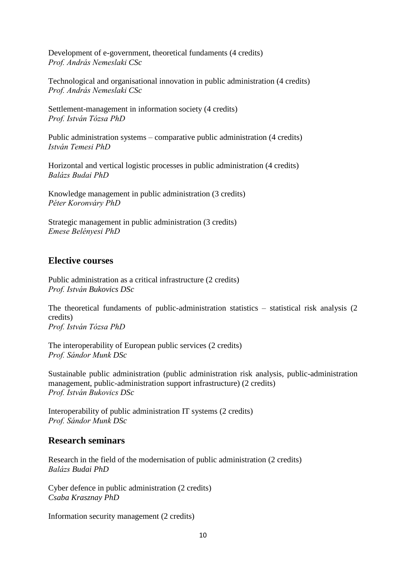Development of e-government, theoretical fundaments (4 credits) *Prof. András Nemeslaki CSc*

Technological and organisational innovation in public administration (4 credits) *Prof. András Nemeslaki CSc*

Settlement-management in information society (4 credits) *Prof. István Tózsa PhD* 

Public administration systems – comparative public administration (4 credits) *István Temesi PhD* 

Horizontal and vertical logistic processes in public administration (4 credits) *Balázs Budai PhD* 

Knowledge management in public administration (3 credits) *Péter Koronváry PhD* 

Strategic management in public administration (3 credits) *Emese Belényesi PhD* 

## **Elective courses**

Public administration as a critical infrastructure (2 credits) *Prof. István Bukovics DSc*

The theoretical fundaments of public-administration statistics – statistical risk analysis (2 credits) *Prof. István Tózsa PhD* 

The interoperability of European public services (2 credits) *Prof. Sándor Munk DSc*

Sustainable public administration (public administration risk analysis, public-administration management, public-administration support infrastructure) (2 credits) *Prof. István Bukovics DSc*

Interoperability of public administration IT systems (2 credits) *Prof. Sándor Munk DSc*

## **Research seminars**

Research in the field of the modernisation of public administration (2 credits) *Balázs Budai PhD* 

Cyber defence in public administration (2 credits) *Csaba Krasznay PhD* 

Information security management (2 credits)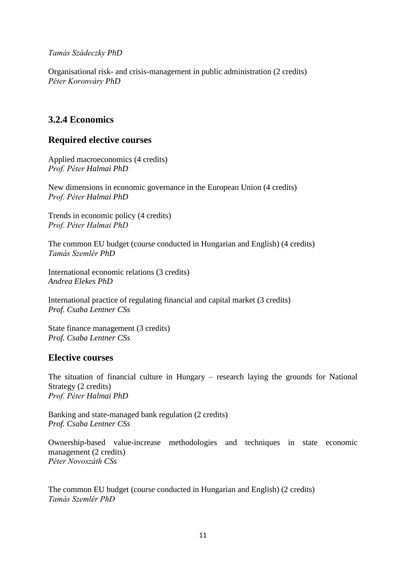*Tamás Szádeczky PhD* 

Organisational risk- and crisis-management in public administration (2 credits) *Péter Koronváry PhD* 

# **3.2.4 Economics**

## **Required elective courses**

Applied macroeconomics (4 credits) *Prof. Péter Halmai PhD* 

New dimensions in economic governance in the European Union (4 credits) *Prof. Péter Halmai PhD* 

Trends in economic policy (4 credits) *Prof. Péter Halmai PhD* 

The common EU budget (course conducted in Hungarian and English) (4 credits) *Tamás Szemlér PhD* 

International economic relations (3 credits) *Andrea Elekes PhD* 

International practice of regulating financial and capital market (3 credits) *Prof. Csaba Lentner CSs*

State finance management (3 credits) *Prof. Csaba Lentner CSs*

## **Elective courses**

The situation of financial culture in Hungary – research laying the grounds for National Strategy (2 credits) *Prof. Péter Halmai PhD* 

Banking and state-managed bank regulation (2 credits) *Prof. Csaba Lentner CSs*

Ownership-based value-increase methodologies and techniques in state economic management (2 credits) *Péter Novoszáth CSs*

The common EU budget (course conducted in Hungarian and English) (2 credits) *Tamás Szemlér PhD*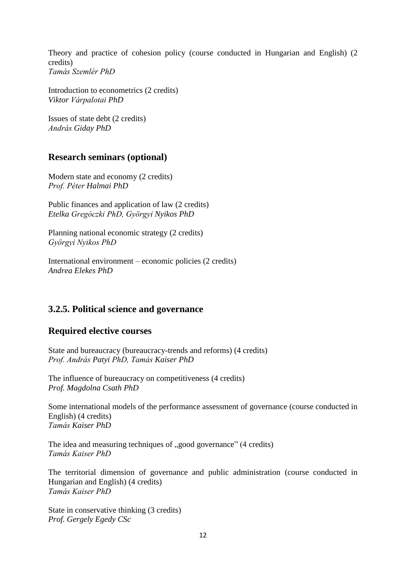Theory and practice of cohesion policy (course conducted in Hungarian and English) (2 credits) *Tamás Szemlér PhD* 

Introduction to econometrics (2 credits) *Viktor Várpalotai PhD* 

Issues of state debt (2 credits) *András Giday PhD* 

## **Research seminars (optional)**

Modern state and economy (2 credits) *Prof. Péter Halmai PhD* 

Public finances and application of law (2 credits) *Etelka Gregóczki PhD, Györgyi Nyikos PhD* 

Planning national economic strategy (2 credits) *Györgyi Nyikos PhD*

International environment – economic policies (2 credits) *Andrea Elekes PhD* 

## **3.2.5. Political science and governance**

## **Required elective courses**

State and bureaucracy (bureaucracy-trends and reforms) (4 credits) *Prof. András Patyi PhD, Tamás Kaiser PhD* 

The influence of bureaucracy on competitiveness (4 credits) *Prof. Magdolna Csath PhD* 

Some international models of the performance assessment of governance (course conducted in English) (4 credits) *Tamás Kaiser PhD* 

The idea and measuring techniques of .good governance" (4 credits) *Tamás Kaiser PhD* 

The territorial dimension of governance and public administration (course conducted in Hungarian and English) (4 credits) *Tamás Kaiser PhD* 

State in conservative thinking (3 credits) *Prof. Gergely Egedy CSc*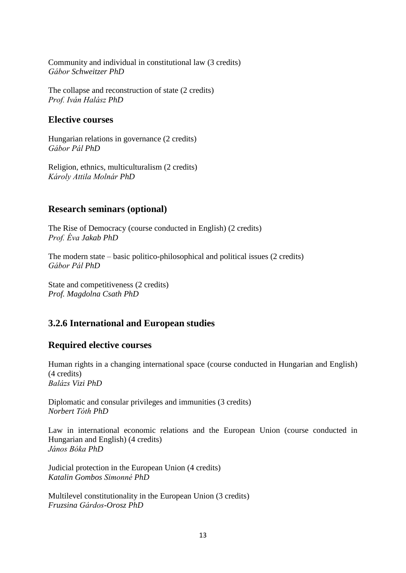Community and individual in constitutional law (3 credits) *Gábor Schweitzer PhD* 

The collapse and reconstruction of state (2 credits) *Prof. Iván Halász PhD* 

## **Elective courses**

Hungarian relations in governance (2 credits) *Gábor Pál PhD* 

Religion, ethnics, multiculturalism (2 credits) *Károly Attila Molnár PhD* 

# **Research seminars (optional)**

The Rise of Democracy (course conducted in English) (2 credits) *Prof. Éva Jakab PhD* 

The modern state – basic politico-philosophical and political issues (2 credits) *Gábor Pál PhD* 

State and competitiveness (2 credits) *Prof. Magdolna Csath PhD* 

# **3.2.6 International and European studies**

# **Required elective courses**

Human rights in a changing international space (course conducted in Hungarian and English) (4 credits) *Balázs Vizi PhD* 

Diplomatic and consular privileges and immunities (3 credits) *Norbert Tóth PhD* 

Law in international economic relations and the European Union (course conducted in Hungarian and English) (4 credits) *János Bóka PhD* 

Judicial protection in the European Union (4 credits) *Katalin Gombos Simonné PhD* 

Multilevel constitutionality in the European Union (3 credits) *Fruzsina Gárdos-Orosz PhD*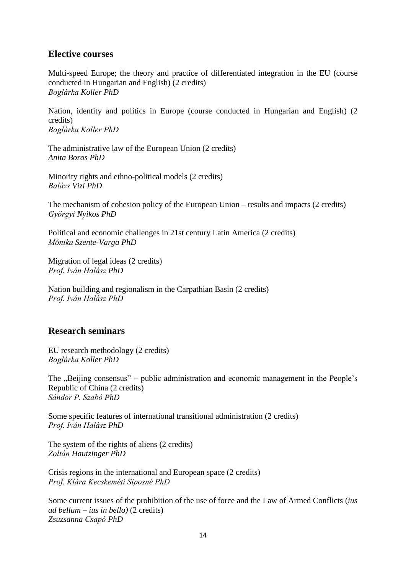#### **Elective courses**

Multi-speed Europe; the theory and practice of differentiated integration in the EU (course conducted in Hungarian and English) (2 credits) *Boglárka Koller PhD* 

Nation, identity and politics in Europe (course conducted in Hungarian and English) (2 credits) *Boglárka Koller PhD* 

The administrative law of the European Union (2 credits) *Anita Boros PhD* 

Minority rights and ethno-political models (2 credits) *Balázs Vizi PhD* 

The mechanism of cohesion policy of the European Union – results and impacts (2 credits) *Györgyi Nyikos PhD* 

Political and economic challenges in 21st century Latin America (2 credits) *Mónika Szente-Varga PhD* 

Migration of legal ideas (2 credits) *Prof. Iván Halász PhD* 

Nation building and regionalism in the Carpathian Basin (2 credits) *Prof. Iván Halász PhD* 

## **Research seminars**

EU research methodology (2 credits) *Boglárka Koller PhD* 

The "Beijing consensus" – public administration and economic management in the People's Republic of China (2 credits) *Sándor P. Szabó PhD*

Some specific features of international transitional administration (2 credits) *Prof. Iván Halász PhD* 

The system of the rights of aliens (2 credits) *Zoltán Hautzinger PhD* 

Crisis regions in the international and European space (2 credits) *Prof. Klára Kecskeméti Siposné PhD* 

Some current issues of the prohibition of the use of force and the Law of Armed Conflicts (*ius ad bellum – ius in bello)* (2 credits) *Zsuzsanna Csapó PhD*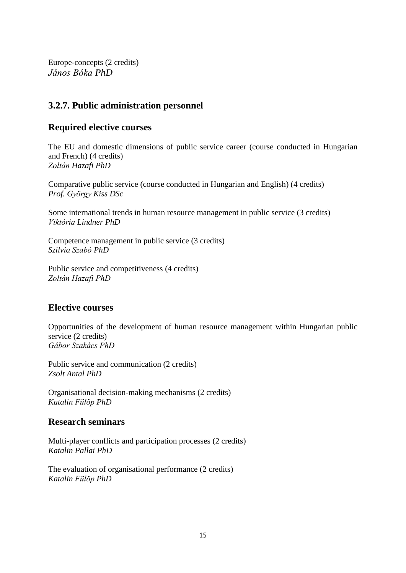Europe-concepts (2 credits) *János Bóka PhD* 

# **3.2.7. Public administration personnel**

## **Required elective courses**

The EU and domestic dimensions of public service career (course conducted in Hungarian and French) (4 credits) *Zoltán Hazafi PhD*

Comparative public service (course conducted in Hungarian and English) (4 credits) *Prof. György Kiss DSc*

Some international trends in human resource management in public service (3 credits) *Viktória Lindner PhD*

Competence management in public service (3 credits) *Szilvia Szabó PhD* 

Public service and competitiveness (4 credits) *Zoltán Hazafi PhD*

# **Elective courses**

Opportunities of the development of human resource management within Hungarian public service (2 credits) *Gábor Szakács PhD* 

Public service and communication (2 credits) *Zsolt Antal PhD* 

Organisational decision-making mechanisms (2 credits) *Katalin Fülöp PhD* 

## **Research seminars**

Multi-player conflicts and participation processes (2 credits) *Katalin Pallai PhD* 

The evaluation of organisational performance (2 credits) *Katalin Fülöp PhD*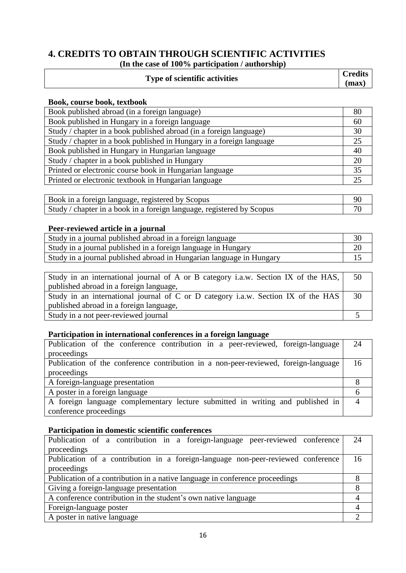## **4. CREDITS TO OBTAIN THROUGH SCIENTIFIC ACTIVITIES (In the case of 100% participation / authorship)**

| <b>Type of scientific activities</b> | <b>Credits</b><br>max |  |
|--------------------------------------|-----------------------|--|
|                                      |                       |  |

#### **Book, course book, textbook**

| Book published abroad (in a foreign language)                        | 80 |
|----------------------------------------------------------------------|----|
| Book published in Hungary in a foreign language                      | 60 |
| Study / chapter in a book published abroad (in a foreign language)   | 30 |
| Study / chapter in a book published in Hungary in a foreign language | 25 |
| Book published in Hungary in Hungarian language                      | 40 |
| Study / chapter in a book published in Hungary                       | 20 |
| Printed or electronic course book in Hungarian language              | 35 |
| Printed or electronic textbook in Hungarian language                 | 25 |

| Book in a foreign language, registered by Scopus                      |  |
|-----------------------------------------------------------------------|--|
| Study / chapter in a book in a foreign language, registered by Scopus |  |

## **Peer-reviewed article in a journal**

| Study in a journal published abroad in a foreign language            |  |
|----------------------------------------------------------------------|--|
| Study in a journal published in a foreign language in Hungary        |  |
| Study in a journal published abroad in Hungarian language in Hungary |  |

| Study in an international journal of A or B category i.a.w. Section IX of the HAS, | 50 |
|------------------------------------------------------------------------------------|----|
| published abroad in a foreign language,                                            |    |
| Study in an international journal of C or D category i.a.w. Section IX of the HAS  | 30 |
| published abroad in a foreign language,                                            |    |
| Study in a not peer-reviewed journal                                               |    |

#### **Participation in international conferences in a foreign language**

| Publication of the conference contribution in a peer-reviewed, foreign-language     | 24 |
|-------------------------------------------------------------------------------------|----|
| proceedings                                                                         |    |
| Publication of the conference contribution in a non-peer-reviewed, foreign-language | 16 |
| proceedings                                                                         |    |
| A foreign-language presentation                                                     |    |
| A poster in a foreign language                                                      |    |
| A foreign language complementary lecture submitted in writing and published in      |    |
| conference proceedings                                                              |    |

#### **Participation in domestic scientific conferences**

| Publication of a contribution in a foreign-language peer-reviewed conference     | 24 |  |  |  |
|----------------------------------------------------------------------------------|----|--|--|--|
| proceedings                                                                      |    |  |  |  |
| Publication of a contribution in a foreign-language non-peer-reviewed conference | 16 |  |  |  |
| proceedings                                                                      |    |  |  |  |
| Publication of a contribution in a native language in conference proceedings     |    |  |  |  |
| Giving a foreign-language presentation                                           |    |  |  |  |
| A conference contribution in the student's own native language                   |    |  |  |  |
| Foreign-language poster                                                          |    |  |  |  |
| A poster in native language                                                      |    |  |  |  |